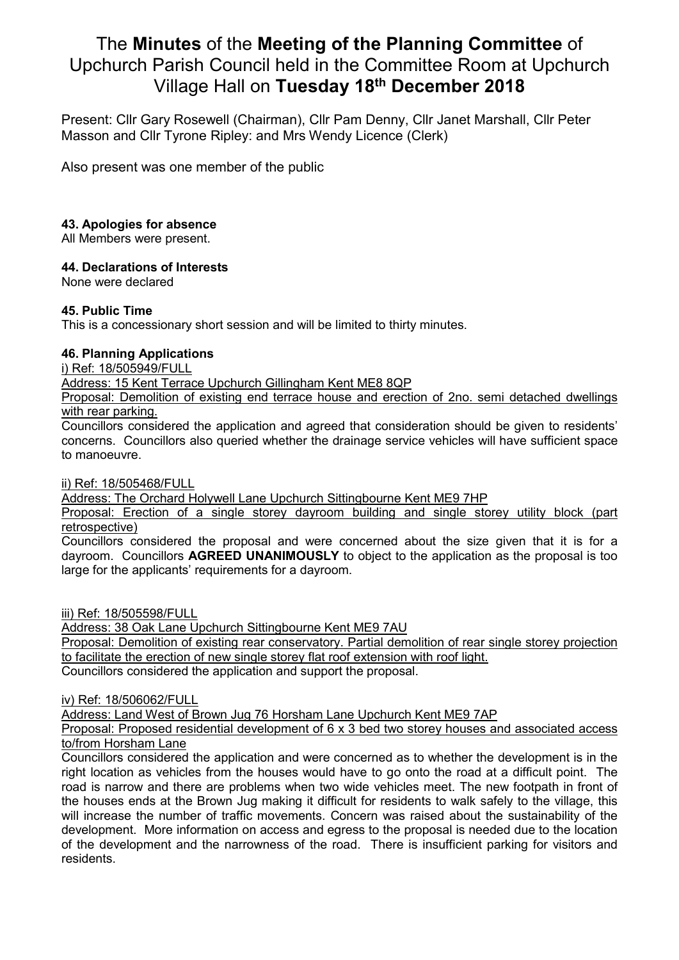# The **Minutes** of the **Meeting of the Planning Committee** of Upchurch Parish Council held in the Committee Room at Upchurch Village Hall on **Tuesday 18th December 2018**

Present: Cllr Gary Rosewell (Chairman), Cllr Pam Denny, Cllr Janet Marshall, Cllr Peter Masson and Cllr Tyrone Ripley: and Mrs Wendy Licence (Clerk)

Also present was one member of the public

## **43. Apologies for absence**

All Members were present.

### **44. Declarations of Interests**

None were declared

### **45. Public Time**

This is a concessionary short session and will be limited to thirty minutes.

### **46. Planning Applications**

i) Ref: 18/505949/FULL

Address: 15 Kent Terrace Upchurch Gillingham Kent ME8 8QP

Proposal: Demolition of existing end terrace house and erection of 2no. semi detached dwellings with rear parking.

Councillors considered the application and agreed that consideration should be given to residents' concerns. Councillors also queried whether the drainage service vehicles will have sufficient space to manoeuvre.

ii) Ref: 18/505468/FULL

Address: The Orchard Holywell Lane Upchurch Sittingbourne Kent ME9 7HP

Proposal: Erection of a single storey dayroom building and single storey utility block (part retrospective)

Councillors considered the proposal and were concerned about the size given that it is for a dayroom. Councillors **AGREED UNANIMOUSLY** to object to the application as the proposal is too large for the applicants' requirements for a dayroom.

iii) Ref: 18/505598/FULL

Address: 38 Oak Lane Upchurch Sittingbourne Kent ME9 7AU

Proposal: Demolition of existing rear conservatory. Partial demolition of rear single storey projection to facilitate the erection of new single storey flat roof extension with roof light.

Councillors considered the application and support the proposal.

iv) Ref: 18/506062/FULL

Address: Land West of Brown Jug 76 Horsham Lane Upchurch Kent ME9 7AP

Proposal: Proposed residential development of 6 x 3 bed two storey houses and associated access to/from Horsham Lane

Councillors considered the application and were concerned as to whether the development is in the right location as vehicles from the houses would have to go onto the road at a difficult point. The road is narrow and there are problems when two wide vehicles meet. The new footpath in front of the houses ends at the Brown Jug making it difficult for residents to walk safely to the village, this will increase the number of traffic movements. Concern was raised about the sustainability of the development. More information on access and egress to the proposal is needed due to the location of the development and the narrowness of the road. There is insufficient parking for visitors and residents.